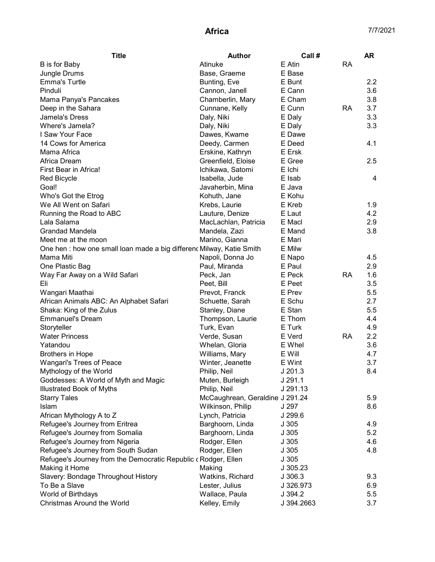| <b>Title</b>                                                          | <b>Author</b>                   | Call#      |           | <b>AR</b>               |
|-----------------------------------------------------------------------|---------------------------------|------------|-----------|-------------------------|
| <b>B</b> is for Baby                                                  | Atinuke                         | E Atin     | <b>RA</b> |                         |
| Jungle Drums                                                          | Base, Graeme                    | E Base     |           |                         |
| <b>Emma's Turtle</b>                                                  | Bunting, Eve                    | E Bunt     |           | 2.2                     |
| Pinduli                                                               | Cannon, Janell                  | E Cann     |           | 3.6                     |
| Mama Panya's Pancakes                                                 | Chamberlin, Mary                | E Cham     |           | 3.8                     |
| Deep in the Sahara                                                    | Cunnane, Kelly                  | E Cunn     | <b>RA</b> | 3.7                     |
| Jamela's Dress                                                        | Daly, Niki                      | E Daly     |           | 3.3                     |
| Where's Jamela?                                                       | Daly, Niki                      | E Daly     |           | 3.3                     |
| I Saw Your Face                                                       | Dawes, Kwame                    | E Dawe     |           |                         |
| 14 Cows for America                                                   | Deedy, Carmen                   | E Deed     |           | 4.1                     |
| Mama Africa                                                           | Erskine, Kathryn                | E Ersk     |           |                         |
| Africa Dream                                                          | Greenfield, Eloise              | E Gree     |           | 2.5                     |
| First Bear in Africa!                                                 | Ichikawa, Satomi                | E Ichi     |           |                         |
| <b>Red Bicycle</b>                                                    | Isabella, Jude                  | E Isab     |           | $\overline{\mathbf{4}}$ |
| Goal!                                                                 | Javaherbin, Mina                | E Java     |           |                         |
| Who's Got the Etrog                                                   | Kohuth, Jane                    | E Kohu     |           |                         |
| We All Went on Safari                                                 | Krebs, Laurie                   | E Kreb     |           | 1.9                     |
| Running the Road to ABC                                               | Lauture, Denize                 | E Laut     |           | 4.2                     |
| Lala Salama                                                           | MacLachlan, Patricia            | E Macl     |           | 2.9                     |
| Grandad Mandela                                                       | Mandela, Zazi                   | E Mand     |           | 3.8                     |
| Meet me at the moon                                                   | Marino, Gianna                  | E Mari     |           |                         |
| One hen : how one small loan made a big differenc Milway, Katie Smith |                                 | E Milw     |           |                         |
| Mama Miti                                                             | Napoli, Donna Jo                | E Napo     |           | 4.5                     |
| One Plastic Bag                                                       | Paul, Miranda                   | E Paul     |           | 2.9                     |
| Way Far Away on a Wild Safari                                         | Peck, Jan                       | E Peck     | <b>RA</b> | 1.6                     |
| Eli                                                                   | Peet, Bill                      | E Peet     |           | 3.5                     |
| Wangari Maathai                                                       | Prevot, Franck                  | E Prev     |           | 5.5                     |
| African Animals ABC: An Alphabet Safari                               | Schuette, Sarah                 | E Schu     |           | 2.7                     |
| Shaka: King of the Zulus                                              | Stanley, Diane                  | E Stan     |           | 5.5                     |
| <b>Emmanuel's Dream</b>                                               | Thompson, Laurie                | E Thom     |           | 4.4                     |
| Storyteller                                                           | Turk, Evan                      | E Turk     |           | 4.9                     |
| <b>Water Princess</b>                                                 | Verde, Susan                    | E Verd     | <b>RA</b> | 2.2                     |
| Yatandou                                                              | Whelan, Gloria                  | E Whel     |           | 3.6                     |
| <b>Brothers in Hope</b>                                               | Williams, Mary                  | E Will     |           | 4.7                     |
| Wangari's Trees of Peace                                              | Winter, Jeanette                | E Wint     |           | 3.7                     |
| Mythology of the World                                                | Philip, Neil                    | $J$ 201.3  |           | 8.4                     |
| Goddesses: A World of Myth and Magic                                  | Muten, Burleigh                 | J291.1     |           |                         |
| Illustrated Book of Myths                                             | Philip, Neil                    | J 291.13   |           |                         |
| <b>Starry Tales</b>                                                   | McCaughrean, Geraldine J 291.24 |            |           | 5.9                     |
| Islam                                                                 | Wilkinson, Philip               | J 297      |           | 8.6                     |
| African Mythology A to Z                                              | Lynch, Patricia                 | J 299.6    |           |                         |
| Refugee's Journey from Eritrea                                        | Barghoorn, Linda                | J305       |           | 4.9                     |
| Refugee's Journey from Somalia                                        | Barghoorn, Linda                | J305       |           | 5.2                     |
| Refugee's Journey from Nigeria                                        | Rodger, Ellen                   | J305       |           | 4.6                     |
| Refugee's Journey from South Sudan                                    | Rodger, Ellen                   | J305       |           | 4.8                     |
| Refugee's Journey from the Democratic Republic c Rodger, Ellen        |                                 | J305       |           |                         |
|                                                                       |                                 |            |           |                         |
| Making it Home                                                        | Making                          | J 305.23   |           | 9.3                     |
| Slavery: Bondage Throughout History<br>To Be a Slave                  | Watkins, Richard                | J 306.3    |           |                         |
|                                                                       | Lester, Julius                  | J 326.973  |           | 6.9                     |
| World of Birthdays                                                    | Wallace, Paula                  | J 394.2    |           | 5.5                     |
| Christmas Around the World                                            | Kelley, Emily                   | J 394.2663 |           | 3.7                     |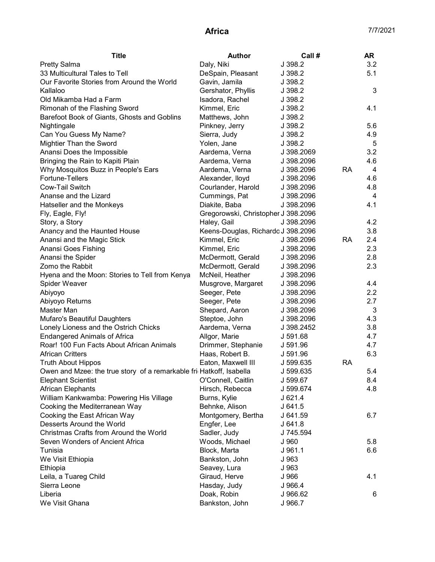| <b>Title</b>                                                        | <b>Author</b>                       | Call#      |           | <b>AR</b> |
|---------------------------------------------------------------------|-------------------------------------|------------|-----------|-----------|
| <b>Pretty Salma</b>                                                 | Daly, Niki                          | J 398.2    |           | 3.2       |
| 33 Multicultural Tales to Tell                                      | DeSpain, Pleasant                   | J 398.2    |           | 5.1       |
| Our Favorite Stories from Around the World                          | Gavin, Jamila                       | J 398.2    |           |           |
| Kallaloo                                                            | Gershator, Phyllis                  | J 398.2    |           | 3         |
| Old Mikamba Had a Farm                                              | Isadora, Rachel                     | J 398.2    |           |           |
| Rimonah of the Flashing Sword                                       | Kimmel, Eric                        | J 398.2    |           | 4.1       |
| Barefoot Book of Giants, Ghosts and Goblins                         | Matthews, John                      | J 398.2    |           |           |
| Nightingale                                                         | Pinkney, Jerry                      | J 398.2    |           | 5.6       |
| Can You Guess My Name?                                              | Sierra, Judy                        | J 398.2    |           | 4.9       |
| Mightier Than the Sword                                             | Yolen, Jane                         | J 398.2    |           | 5         |
| Anansi Does the Impossible                                          | Aardema, Verna                      | J 398.2069 |           | 3.2       |
| Bringing the Rain to Kapiti Plain                                   | Aardema, Verna                      | J 398.2096 |           | 4.6       |
| Why Mosquitos Buzz in People's Ears                                 | Aardema, Verna                      | J 398.2096 | <b>RA</b> | 4         |
| Fortune-Tellers                                                     | Alexander, lloyd                    | J 398.2096 |           | 4.6       |
| Cow-Tail Switch                                                     | Courlander, Harold                  | J 398.2096 |           | 4.8       |
| Ananse and the Lizard                                               | Cummings, Pat                       | J 398.2096 |           | 4         |
| Hatseller and the Monkeys                                           | Diakite, Baba                       | J 398.2096 |           | 4.1       |
| Fly, Eagle, Fly!                                                    | Gregorowski, Christopher J 398.2096 |            |           |           |
| Story, a Story                                                      | Haley, Gail                         | J 398.2096 |           | 4.2       |
| Anancy and the Haunted House                                        | Keens-Douglas, Richardo J 398.2096  |            |           | 3.8       |
| Anansi and the Magic Stick                                          | Kimmel, Eric                        | J 398.2096 | <b>RA</b> | 2.4       |
| Anansi Goes Fishing                                                 | Kimmel, Eric                        | J 398.2096 |           | 2.3       |
| Anansi the Spider                                                   | McDermott, Gerald                   | J 398.2096 |           | 2.8       |
| Zomo the Rabbit                                                     | McDermott, Gerald                   | J 398.2096 |           | 2.3       |
| Hyena and the Moon: Stories to Tell from Kenya                      | McNeil, Heather                     | J 398.2096 |           |           |
| Spider Weaver                                                       | Musgrove, Margaret                  | J 398.2096 |           | 4.4       |
| Abiyoyo                                                             | Seeger, Pete                        | J 398.2096 |           | 2.2       |
| Abiyoyo Returns                                                     | Seeger, Pete                        | J 398.2096 |           | 2.7       |
| Master Man                                                          | Shepard, Aaron                      | J 398.2096 |           | 3         |
| Mufaro's Beautiful Daughters                                        | Steptoe, John                       | J 398.2096 |           | 4.3       |
| Lonely Lioness and the Ostrich Chicks                               | Aardema, Verna                      | J 398.2452 |           | 3.8       |
| <b>Endangered Animals of Africa</b>                                 | Allgor, Marie                       | J 591.68   |           | 4.7       |
| Roar! 100 Fun Facts About African Animals                           | Drimmer, Stephanie                  | J 591.96   |           | 4.7       |
| <b>African Critters</b>                                             | Haas, Robert B.                     | J 591.96   |           | 6.3       |
| <b>Truth About Hippos</b>                                           | Eaton, Maxwell III                  | J 599.635  | <b>RA</b> |           |
| Owen and Mzee: the true story of a remarkable fri Hatkoff, Isabella |                                     | J 599.635  |           | 5.4       |
| <b>Elephant Scientist</b>                                           | O'Connell, Caitlin                  | J 599.67   |           | 8.4       |
| <b>African Elephants</b>                                            | Hirsch, Rebecca                     | J 599.674  |           | 4.8       |
| William Kankwamba: Powering His Village                             | Burns, Kylie                        | J 621.4    |           |           |
| Cooking the Mediterranean Way                                       | Behnke, Alison                      | J641.5     |           |           |
| Cooking the East African Way                                        | Montgomery, Bertha                  | J 641.59   |           | 6.7       |
| Desserts Around the World                                           | Engfer, Lee                         | J641.8     |           |           |
| Christmas Crafts from Around the World                              | Sadler, Judy                        | J 745.594  |           |           |
| Seven Wonders of Ancient Africa                                     | Woods, Michael                      | J 960      |           | 5.8       |
| Tunisia                                                             | Block, Marta                        | J961.1     |           | 6.6       |
| We Visit Ethiopia                                                   | Bankston, John                      | J 963      |           |           |
| Ethiopia                                                            | Seavey, Lura                        | J 963      |           |           |
| Leila, a Tuareg Child                                               | Giraud, Herve                       | J 966      |           | 4.1       |
| Sierra Leone                                                        | Hasday, Judy                        | J 966.4    |           |           |
| Liberia                                                             | Doak, Robin                         | J 966.62   |           | 6         |
| We Visit Ghana                                                      | Bankston, John                      | J 966.7    |           |           |